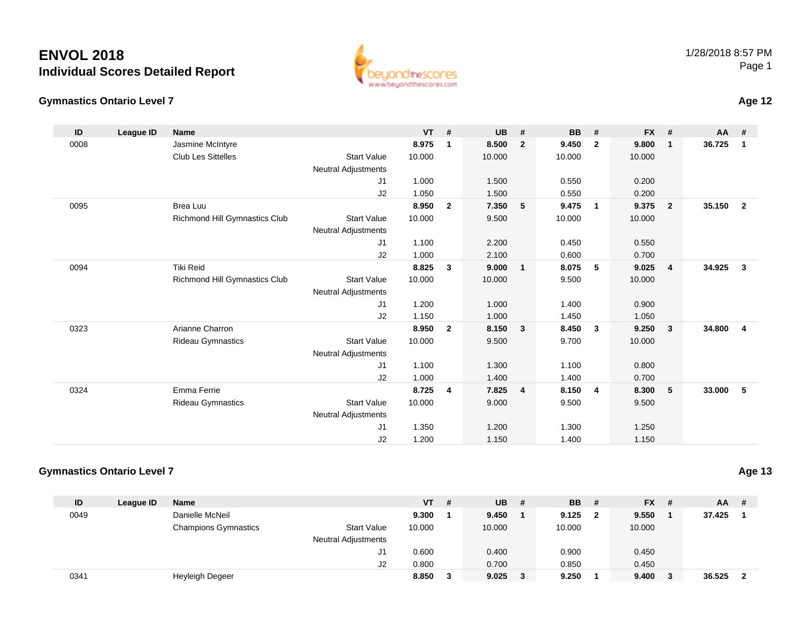#### **Gymnastics Ontario Level 7**

| ID   | League ID | <b>Name</b>                   |                            | <b>VT</b> | #              | <b>UB</b> | #                       | <b>BB</b> | #                       | <b>FX</b> | #              | <b>AA</b> | #              |
|------|-----------|-------------------------------|----------------------------|-----------|----------------|-----------|-------------------------|-----------|-------------------------|-----------|----------------|-----------|----------------|
| 0008 |           | Jasmine McIntyre              |                            | 8.975     | $\mathbf 1$    | 8.500     | $\overline{2}$          | 9.450     | $\overline{2}$          | 9.800     | $\mathbf 1$    | 36.725    | 1              |
|      |           | <b>Club Les Sittelles</b>     | <b>Start Value</b>         | 10.000    |                | 10.000    |                         | 10.000    |                         | 10.000    |                |           |                |
|      |           |                               | Neutral Adjustments        |           |                |           |                         |           |                         |           |                |           |                |
|      |           |                               | J1                         | 1.000     |                | 1.500     |                         | 0.550     |                         | 0.200     |                |           |                |
|      |           |                               | J2                         | 1.050     |                | 1.500     |                         | 0.550     |                         | 0.200     |                |           |                |
| 0095 |           | Brea Luu                      |                            | 8.950     | $\overline{2}$ | 7.350     | 5                       | 9.475     | $\overline{\mathbf{1}}$ | 9.375     | $\overline{2}$ | 35.150    | $\overline{2}$ |
|      |           | Richmond Hill Gymnastics Club | <b>Start Value</b>         | 10.000    |                | 9.500     |                         | 10.000    |                         | 10.000    |                |           |                |
|      |           |                               | <b>Neutral Adjustments</b> |           |                |           |                         |           |                         |           |                |           |                |
|      |           |                               | J1                         | 1.100     |                | 2.200     |                         | 0.450     |                         | 0.550     |                |           |                |
|      |           |                               | J2                         | 1.000     |                | 2.100     |                         | 0.600     |                         | 0.700     |                |           |                |
| 0094 |           | <b>Tiki Reid</b>              |                            | 8.825     | $\mathbf{3}$   | 9.000     | $\overline{1}$          | 8.075     | 5                       | 9.025     | $\overline{4}$ | 34.925    | $\mathbf{3}$   |
|      |           | Richmond Hill Gymnastics Club | <b>Start Value</b>         | 10.000    |                | 10.000    |                         | 9.500     |                         | 10.000    |                |           |                |
|      |           |                               | Neutral Adjustments        |           |                |           |                         |           |                         |           |                |           |                |
|      |           |                               | J1                         | 1.200     |                | 1.000     |                         | 1.400     |                         | 0.900     |                |           |                |
|      |           |                               | J2                         | 1.150     |                | 1.000     |                         | 1.450     |                         | 1.050     |                |           |                |
| 0323 |           | Arianne Charron               |                            | 8.950     | $\overline{2}$ | 8.150     | $\mathbf{3}$            | 8.450     | $\overline{\mathbf{3}}$ | 9.250     | 3              | 34.800    | 4              |
|      |           | <b>Rideau Gymnastics</b>      | <b>Start Value</b>         | 10.000    |                | 9.500     |                         | 9.700     |                         | 10.000    |                |           |                |
|      |           |                               | Neutral Adjustments        |           |                |           |                         |           |                         |           |                |           |                |
|      |           |                               | J1                         | 1.100     |                | 1.300     |                         | 1.100     |                         | 0.800     |                |           |                |
|      |           |                               | J2                         | 1.000     |                | 1.400     |                         | 1.400     |                         | 0.700     |                |           |                |
| 0324 |           | Emma Ferrie                   |                            | 8.725     | 4              | 7.825     | $\overline{\mathbf{4}}$ | 8.150     | $\overline{4}$          | 8.300     | 5              | 33.000    | 5              |
|      |           | <b>Rideau Gymnastics</b>      | <b>Start Value</b>         | 10.000    |                | 9.000     |                         | 9.500     |                         | 9.500     |                |           |                |
|      |           |                               | Neutral Adjustments        |           |                |           |                         |           |                         |           |                |           |                |
|      |           |                               | J <sub>1</sub>             | 1.350     |                | 1.200     |                         | 1.300     |                         | 1.250     |                |           |                |
|      |           |                               | J <sub>2</sub>             | 1.200     |                | 1.150     |                         | 1.400     |                         | 1.150     |                |           |                |

#### **Gymnastics Ontario Level 7**

**ID League ID Name VT # UB # BB # FX # AA #** 0049 Danielle McNeil **9.300 <sup>1</sup> 9.450 <sup>1</sup> 9.125 <sup>2</sup> 9.550 <sup>1</sup> 37.425 <sup>1</sup>** Champions Gymnastics Start Valuee 10.000 10.000 10.000 10.000 Neutral Adjustments J1 0.600 0.400 0.900 0.450 J2 0.800 0.700 0.850 0.450 0341Heyleigh Degeer **8.850 <sup>3</sup> 9.025 <sup>3</sup> 9.250 <sup>1</sup> 9.400 <sup>3</sup> 36.525 <sup>2</sup>**

#### 1/28/2018 8:57 PMPage 1

**Age 12**

**Age 13**

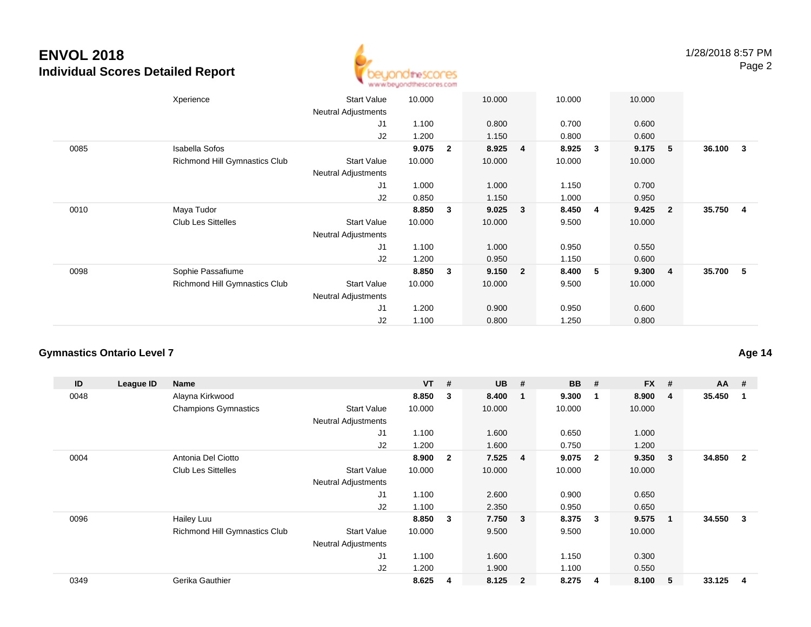

|      | Xperience                     | <b>Start Value</b><br><b>Neutral Adjustments</b> | 10.000 |              | 10.000 |                         | 10.000 |   | 10.000 |                         |          |                         |
|------|-------------------------------|--------------------------------------------------|--------|--------------|--------|-------------------------|--------|---|--------|-------------------------|----------|-------------------------|
|      |                               | J1                                               | 1.100  |              | 0.800  |                         | 0.700  |   | 0.600  |                         |          |                         |
|      |                               | J2                                               | 1.200  |              | 1.150  |                         | 0.800  |   | 0.600  |                         |          |                         |
| 0085 | <b>Isabella Sofos</b>         |                                                  | 9.075  | $\mathbf{2}$ | 8.925  | $\overline{4}$          | 8.925  | 3 | 9.175  | 5                       | 36.100   | $\overline{\mathbf{3}}$ |
|      | Richmond Hill Gymnastics Club | <b>Start Value</b><br><b>Neutral Adjustments</b> | 10.000 |              | 10.000 |                         | 10.000 |   | 10.000 |                         |          |                         |
|      |                               | J <sub>1</sub>                                   | 1.000  |              | 1.000  |                         | 1.150  |   | 0.700  |                         |          |                         |
|      |                               | J2                                               | 0.850  |              | 1.150  |                         | 1.000  |   | 0.950  |                         |          |                         |
| 0010 | Maya Tudor                    |                                                  | 8.850  | 3            | 9.025  | $\overline{\mathbf{3}}$ | 8.450  | 4 | 9.425  | $\overline{\mathbf{2}}$ | 35.750   | $\overline{4}$          |
|      | <b>Club Les Sittelles</b>     | <b>Start Value</b>                               | 10.000 |              | 10.000 |                         | 9.500  |   | 10.000 |                         |          |                         |
|      |                               | <b>Neutral Adjustments</b>                       |        |              |        |                         |        |   |        |                         |          |                         |
|      |                               | J1                                               | 1.100  |              | 1.000  |                         | 0.950  |   | 0.550  |                         |          |                         |
|      |                               | J2                                               | 1.200  |              | 0.950  |                         | 1.150  |   | 0.600  |                         |          |                         |
| 0098 | Sophie Passafiume             |                                                  | 8.850  | $\mathbf{3}$ | 9.150  | $\overline{\mathbf{2}}$ | 8.400  | 5 | 9.300  | $\overline{4}$          | 35.700 5 |                         |
|      | Richmond Hill Gymnastics Club | <b>Start Value</b>                               | 10.000 |              | 10.000 |                         | 9.500  |   | 10.000 |                         |          |                         |
|      |                               | <b>Neutral Adjustments</b>                       |        |              |        |                         |        |   |        |                         |          |                         |
|      |                               | J1                                               | 1.200  |              | 0.900  |                         | 0.950  |   | 0.600  |                         |          |                         |
|      |                               | J2                                               | 1.100  |              | 0.800  |                         | 1.250  |   | 0.800  |                         |          |                         |

### **Gymnastics Ontario Level 7**

| ID   | League ID | <b>Name</b>                   |                            | $VT$ # |                | <b>UB</b> | #                       | <b>BB</b> | #              | <b>FX</b> | # | $AA$ # |                |
|------|-----------|-------------------------------|----------------------------|--------|----------------|-----------|-------------------------|-----------|----------------|-----------|---|--------|----------------|
| 0048 |           | Alayna Kirkwood               |                            | 8.850  | 3              | 8.400     | - 1                     | 9.300     | -1             | 8.900     | 4 | 35.450 |                |
|      |           | <b>Champions Gymnastics</b>   | <b>Start Value</b>         | 10.000 |                | 10.000    |                         | 10.000    |                | 10.000    |   |        |                |
|      |           |                               | Neutral Adjustments        |        |                |           |                         |           |                |           |   |        |                |
|      |           |                               | J1                         | 1.100  |                | 1.600     |                         | 0.650     |                | 1.000     |   |        |                |
|      |           |                               | J <sub>2</sub>             | 1.200  |                | 1.600     |                         | 0.750     |                | 1.200     |   |        |                |
| 0004 |           | Antonia Del Ciotto            |                            | 8.900  | $\overline{2}$ | 7.525     | 4                       | 9.075     | $\overline{2}$ | 9.350     | 3 | 34.850 | $\overline{2}$ |
|      |           | <b>Club Les Sittelles</b>     | <b>Start Value</b>         | 10.000 |                | 10.000    |                         | 10.000    |                | 10.000    |   |        |                |
|      |           |                               | Neutral Adjustments        |        |                |           |                         |           |                |           |   |        |                |
|      |           |                               | J1                         | 1.100  |                | 2.600     |                         | 0.900     |                | 0.650     |   |        |                |
|      |           |                               | J <sub>2</sub>             | 1.100  |                | 2.350     |                         | 0.950     |                | 0.650     |   |        |                |
| 0096 |           | Hailey Luu                    |                            | 8.850  | 3              | 7.750     | $\overline{\mathbf{3}}$ | 8.375     | 3              | 9.575     | 1 | 34.550 | 3              |
|      |           | Richmond Hill Gymnastics Club | <b>Start Value</b>         | 10.000 |                | 9.500     |                         | 9.500     |                | 10.000    |   |        |                |
|      |           |                               | <b>Neutral Adjustments</b> |        |                |           |                         |           |                |           |   |        |                |
|      |           |                               | J1                         | 1.100  |                | 1.600     |                         | 1.150     |                | 0.300     |   |        |                |
|      |           |                               | J <sub>2</sub>             | 1.200  |                | 1.900     |                         | 1.100     |                | 0.550     |   |        |                |
| 0349 |           | Gerika Gauthier               |                            | 8.625  | 4              | 8.125     | $\overline{\mathbf{2}}$ | 8.275     | -4             | 8.100     | 5 | 33.125 | 4              |

### **Age 14**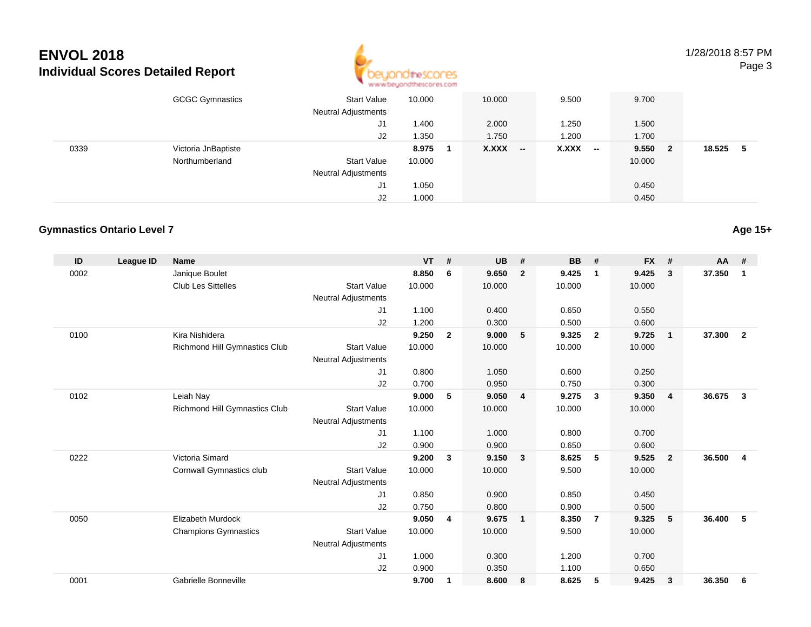

1/28/2018 8:57 PMPage 3

|      | <b>GCGC Gymnastics</b> | <b>Start Value</b><br><b>Neutral Adjustments</b> | 10.000 | 10.000              | 9.500                             | 9.700                   |        |
|------|------------------------|--------------------------------------------------|--------|---------------------|-----------------------------------|-------------------------|--------|
|      |                        | J1                                               | 1.400  | 2.000               | 1.250                             | 1.500                   |        |
|      |                        | J2                                               | 1.350  | 1.750               | 1.200                             | 1.700                   |        |
| 0339 | Victoria JnBaptiste    |                                                  | 8.975  | X.XXX<br>$\sim$ $-$ | X.XXX<br>$\overline{\phantom{a}}$ | 9.550<br>$\overline{2}$ | 18.525 |
|      | Northumberland         | <b>Start Value</b>                               | 10.000 |                     |                                   | 10.000                  |        |
|      |                        | <b>Neutral Adjustments</b>                       |        |                     |                                   |                         |        |
|      |                        | J1                                               | 1.050  |                     |                                   | 0.450                   |        |
|      |                        | J2                                               | 1.000  |                     |                                   | 0.450                   |        |

### **Gymnastics Ontario Level 7**

| ID   | League ID | <b>Name</b>                   |                            | <b>VT</b> | #              | <b>UB</b> | #                       | <b>BB</b> | #              | <b>FX</b> | #              | $AA$ # |                |
|------|-----------|-------------------------------|----------------------------|-----------|----------------|-----------|-------------------------|-----------|----------------|-----------|----------------|--------|----------------|
| 0002 |           | Janique Boulet                |                            | 8.850     | 6              | 9.650     | $\overline{2}$          | 9.425     | $\mathbf 1$    | 9.425     | 3              | 37.350 | $\mathbf{1}$   |
|      |           | <b>Club Les Sittelles</b>     | <b>Start Value</b>         | 10.000    |                | 10.000    |                         | 10.000    |                | 10.000    |                |        |                |
|      |           |                               | <b>Neutral Adjustments</b> |           |                |           |                         |           |                |           |                |        |                |
|      |           |                               | J1                         | 1.100     |                | 0.400     |                         | 0.650     |                | 0.550     |                |        |                |
|      |           |                               | J2                         | 1.200     |                | 0.300     |                         | 0.500     |                | 0.600     |                |        |                |
| 0100 |           | Kira Nishidera                |                            | 9.250     | $\overline{2}$ | 9.000     | 5                       | 9.325     | $\overline{2}$ | 9.725     | $\mathbf{1}$   | 37.300 | $\overline{2}$ |
|      |           | Richmond Hill Gymnastics Club | <b>Start Value</b>         | 10.000    |                | 10.000    |                         | 10.000    |                | 10.000    |                |        |                |
|      |           |                               | <b>Neutral Adjustments</b> |           |                |           |                         |           |                |           |                |        |                |
|      |           |                               | J1                         | 0.800     |                | 1.050     |                         | 0.600     |                | 0.250     |                |        |                |
|      |           |                               | J2                         | 0.700     |                | 0.950     |                         | 0.750     |                | 0.300     |                |        |                |
| 0102 |           | Leiah Nay                     |                            | 9.000     | 5              | 9.050     | $\overline{4}$          | 9.275     | $\mathbf{3}$   | 9.350     | $\overline{4}$ | 36.675 | 3              |
|      |           | Richmond Hill Gymnastics Club | <b>Start Value</b>         | 10.000    |                | 10.000    |                         | 10.000    |                | 10.000    |                |        |                |
|      |           |                               | <b>Neutral Adjustments</b> |           |                |           |                         |           |                |           |                |        |                |
|      |           |                               | J <sub>1</sub>             | 1.100     |                | 1.000     |                         | 0.800     |                | 0.700     |                |        |                |
|      |           |                               | J <sub>2</sub>             | 0.900     |                | 0.900     |                         | 0.650     |                | 0.600     |                |        |                |
| 0222 |           | Victoria Simard               |                            | 9.200     | 3              | 9.150     | $\overline{\mathbf{3}}$ | 8.625     | 5              | 9.525     | $\overline{2}$ | 36.500 | 4              |
|      |           | Cornwall Gymnastics club      | <b>Start Value</b>         | 10.000    |                | 10.000    |                         | 9.500     |                | 10.000    |                |        |                |
|      |           |                               | <b>Neutral Adjustments</b> |           |                |           |                         |           |                |           |                |        |                |
|      |           |                               | J <sub>1</sub>             | 0.850     |                | 0.900     |                         | 0.850     |                | 0.450     |                |        |                |
|      |           |                               | J2                         | 0.750     |                | 0.800     |                         | 0.900     |                | 0.500     |                |        |                |
| 0050 |           | <b>Elizabeth Murdock</b>      |                            | 9.050     | 4              | 9.675     | $\overline{1}$          | 8.350     | $\overline{7}$ | 9.325     | 5              | 36.400 | 5              |
|      |           | <b>Champions Gymnastics</b>   | <b>Start Value</b>         | 10.000    |                | 10.000    |                         | 9.500     |                | 10.000    |                |        |                |
|      |           |                               | <b>Neutral Adjustments</b> |           |                |           |                         |           |                |           |                |        |                |
|      |           |                               | J <sub>1</sub>             | 1.000     |                | 0.300     |                         | 1.200     |                | 0.700     |                |        |                |
|      |           |                               | J <sub>2</sub>             | 0.900     |                | 0.350     |                         | 1.100     |                | 0.650     |                |        |                |
| 0001 |           | Gabrielle Bonneville          |                            | 9.700     | 1              | 8.600     | - 8                     | 8.625     | 5              | 9.425     | 3              | 36.350 | 6              |

#### **Age 15+**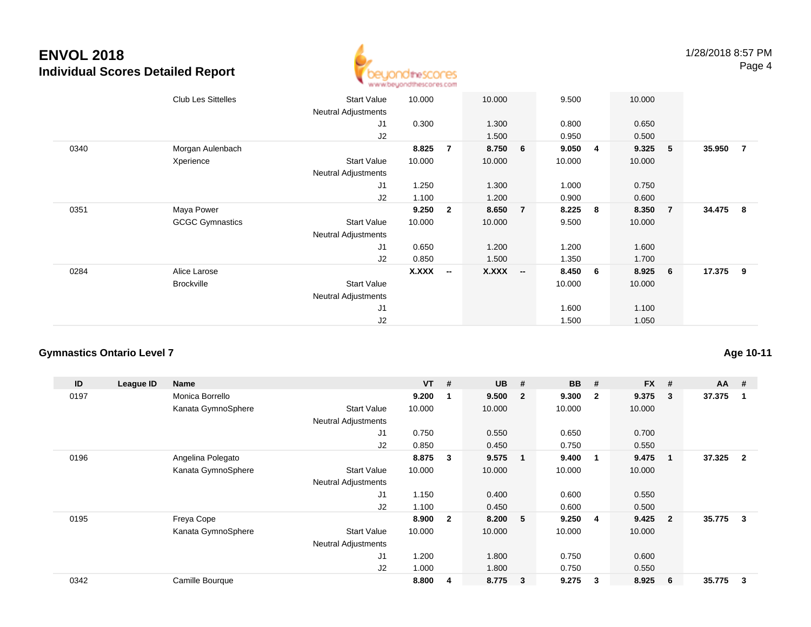

|      | <b>Club Les Sittelles</b> | Start Value<br>Neutral Adjustments | 10.000       |                          | 10.000 |                          | 9.500  |   | 10.000 |                 |          |                |
|------|---------------------------|------------------------------------|--------------|--------------------------|--------|--------------------------|--------|---|--------|-----------------|----------|----------------|
|      |                           | J1                                 | 0.300        |                          | 1.300  |                          | 0.800  |   | 0.650  |                 |          |                |
|      |                           | J2                                 |              |                          | 1.500  |                          | 0.950  |   | 0.500  |                 |          |                |
| 0340 | Morgan Aulenbach          |                                    | 8.825        | $\overline{7}$           | 8.750  | 6                        | 9.050  | 4 | 9.325  | 5               | 35.950   | $\overline{7}$ |
|      | Xperience                 | Start Value                        | 10.000       |                          | 10.000 |                          | 10.000 |   | 10.000 |                 |          |                |
|      |                           | Neutral Adjustments                |              |                          |        |                          |        |   |        |                 |          |                |
|      |                           | J1                                 | 1.250        |                          | 1.300  |                          | 1.000  |   | 0.750  |                 |          |                |
|      |                           | J2                                 | 1.100        |                          | 1.200  |                          | 0.900  |   | 0.600  |                 |          |                |
| 0351 | Maya Power                |                                    | 9.250        | $\mathbf{2}$             | 8.650  | $\overline{7}$           | 8.225  | 8 | 8.350  | $\overline{7}$  | 34.475 8 |                |
|      | <b>GCGC Gymnastics</b>    | Start Value                        | 10.000       |                          | 10.000 |                          | 9.500  |   | 10.000 |                 |          |                |
|      |                           | <b>Neutral Adjustments</b>         |              |                          |        |                          |        |   |        |                 |          |                |
|      |                           | J1                                 | 0.650        |                          | 1.200  |                          | 1.200  |   | 1.600  |                 |          |                |
|      |                           | J2                                 | 0.850        |                          | 1.500  |                          | 1.350  |   | 1.700  |                 |          |                |
| 0284 | Alice Larose              |                                    | <b>X.XXX</b> | $\overline{\phantom{a}}$ | X.XXX  | $\overline{\phantom{a}}$ | 8.450  | 6 | 8.925  | $6\phantom{.0}$ | 17.375 9 |                |
|      | <b>Brockville</b>         | <b>Start Value</b>                 |              |                          |        |                          | 10.000 |   | 10.000 |                 |          |                |
|      |                           | <b>Neutral Adjustments</b>         |              |                          |        |                          |        |   |        |                 |          |                |
|      |                           | J <sub>1</sub>                     |              |                          |        |                          | 1.600  |   | 1.100  |                 |          |                |
|      |                           | J2                                 |              |                          |        |                          | 1.500  |   | 1.050  |                 |          |                |

### **Gymnastics Ontario Level 7**

| ID   | League ID | <b>Name</b>        |                            | $VT$ # |                         | <b>UB</b> | #                       | <b>BB</b> | #                       | <b>FX</b> | #              | $AA$ # |                |
|------|-----------|--------------------|----------------------------|--------|-------------------------|-----------|-------------------------|-----------|-------------------------|-----------|----------------|--------|----------------|
| 0197 |           | Monica Borrello    |                            | 9.200  |                         | 9.500     | $\overline{\mathbf{2}}$ | 9.300     | $\mathbf{2}$            | 9.375     | 3              | 37.375 |                |
|      |           | Kanata GymnoSphere | <b>Start Value</b>         | 10.000 |                         | 10.000    |                         | 10.000    |                         | 10.000    |                |        |                |
|      |           |                    | Neutral Adjustments        |        |                         |           |                         |           |                         |           |                |        |                |
|      |           |                    | J1                         | 0.750  |                         | 0.550     |                         | 0.650     |                         | 0.700     |                |        |                |
|      |           |                    | J <sub>2</sub>             | 0.850  |                         | 0.450     |                         | 0.750     |                         | 0.550     |                |        |                |
| 0196 |           | Angelina Polegato  |                            | 8.875  | 3                       | 9.575     | $\overline{\mathbf{1}}$ | 9.400     | $\overline{\mathbf{1}}$ | 9.475     |                | 37.325 | $\overline{2}$ |
|      |           | Kanata GymnoSphere | <b>Start Value</b>         | 10.000 |                         | 10.000    |                         | 10.000    |                         | 10.000    |                |        |                |
|      |           |                    | Neutral Adjustments        |        |                         |           |                         |           |                         |           |                |        |                |
|      |           |                    | J1                         | 1.150  |                         | 0.400     |                         | 0.600     |                         | 0.550     |                |        |                |
|      |           |                    | J <sub>2</sub>             | 1.100  |                         | 0.450     |                         | 0.600     |                         | 0.500     |                |        |                |
| 0195 |           | Freya Cope         |                            | 8.900  | $\overline{\mathbf{2}}$ | 8.200     | 5                       | 9.250     | -4                      | 9.425     | $\overline{2}$ | 35.775 | 3              |
|      |           | Kanata GymnoSphere | <b>Start Value</b>         | 10.000 |                         | 10.000    |                         | 10.000    |                         | 10.000    |                |        |                |
|      |           |                    | <b>Neutral Adjustments</b> |        |                         |           |                         |           |                         |           |                |        |                |
|      |           |                    | J1                         | 1.200  |                         | 1.800     |                         | 0.750     |                         | 0.600     |                |        |                |
|      |           |                    | J <sub>2</sub>             | 1.000  |                         | 1.800     |                         | 0.750     |                         | 0.550     |                |        |                |
| 0342 |           | Camille Bourque    |                            | 8.800  | 4                       | 8.775     | $\mathbf{3}$            | 9.275     | 3                       | 8.925     | 6              | 35.775 | 3              |

### **Age 10-11**